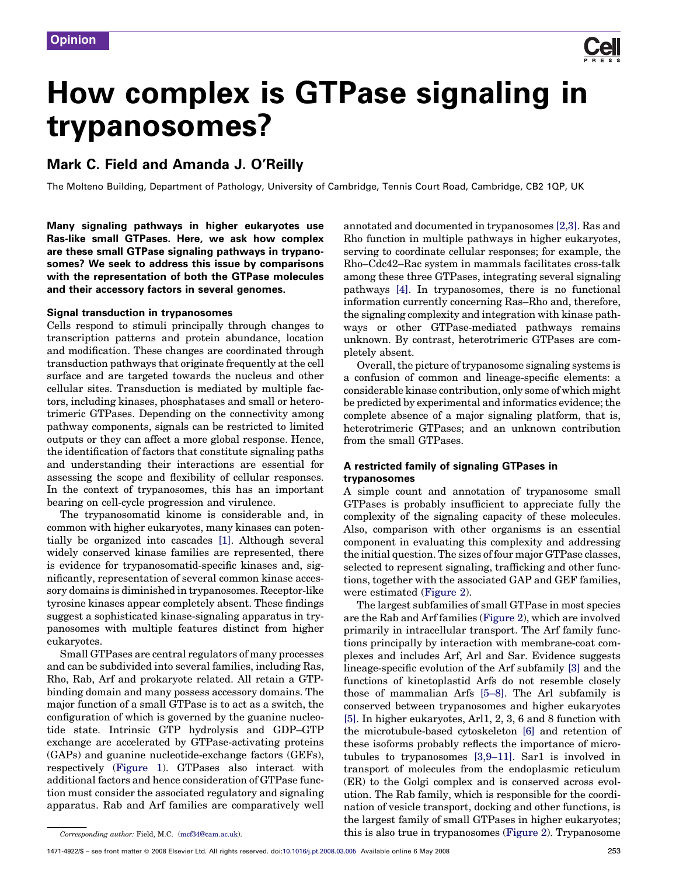

# How complex is GTPase signaling in trypanosomes?

## Mark C. Field and Amanda J. O'Reilly

The Molteno Building, Department of Pathology, University of Cambridge, Tennis Court Road, Cambridge, CB2 1QP, UK

Many signaling pathways in higher eukaryotes use Ras-like small GTPases. Here, we ask how complex are these small GTPase signaling pathways in trypanosomes? We seek to address this issue by comparisons with the representation of both the GTPase molecules and their accessory factors in several genomes.

#### Signal transduction in trypanosomes

Cells respond to stimuli principally through changes to transcription patterns and protein abundance, location and modification. These changes are coordinated through transduction pathways that originate frequently at the cell surface and are targeted towards the nucleus and other cellular sites. Transduction is mediated by multiple factors, including kinases, phosphatases and small or heterotrimeric GTPases. Depending on the connectivity among pathway components, signals can be restricted to limited outputs or they can affect a more global response. Hence, the identification of factors that constitute signaling paths and understanding their interactions are essential for assessing the scope and flexibility of cellular responses. In the context of trypanosomes, this has an important bearing on cell-cycle progression and virulence.

The trypanosomatid kinome is considerable and, in common with higher eukaryotes, many kinases can potentially be organized into cascades [\[1\]](#page-3-0). Although several widely conserved kinase families are represented, there is evidence for trypanosomatid-specific kinases and, significantly, representation of several common kinase accessory domains is diminished in trypanosomes. Receptor-like tyrosine kinases appear completely absent. These findings suggest a sophisticated kinase-signaling apparatus in trypanosomes with multiple features distinct from higher eukaryotes.

Small GTPases are central regulators of many processes and can be subdivided into several families, including Ras, Rho, Rab, Arf and prokaryote related. All retain a GTPbinding domain and many possess accessory domains. The major function of a small GTPase is to act as a switch, the configuration of which is governed by the guanine nucleotide state. Intrinsic GTP hydrolysis and GDP–GTP exchange are accelerated by GTPase-activating proteins (GAPs) and guanine nucleotide-exchange factors (GEFs), respectively [\(Figure 1](#page-1-0)). GTPases also interact with additional factors and hence consideration of GTPase function must consider the associated regulatory and signaling apparatus. Rab and Arf families are comparatively well

annotated and documented in trypanosomes [\[2,3\]](#page-3-0). Ras and Rho function in multiple pathways in higher eukaryotes, serving to coordinate cellular responses; for example, the Rho–Cdc42–Rac system in mammals facilitates cross-talk among these three GTPases, integrating several signaling pathways [\[4\]](#page-3-0). In trypanosomes, there is no functional information currently concerning Ras–Rho and, therefore, the signaling complexity and integration with kinase pathways or other GTPase-mediated pathways remains unknown. By contrast, heterotrimeric GTPases are completely absent.

Overall, the picture of trypanosome signaling systems is a confusion of common and lineage-specific elements: a considerable kinase contribution, only some of which might be predicted by experimental and informatics evidence; the complete absence of a major signaling platform, that is, heterotrimeric GTPases; and an unknown contribution from the small GTPases.

### A restricted family of signaling GTPases in trypanosomes

A simple count and annotation of trypanosome small GTPases is probably insufficient to appreciate fully the complexity of the signaling capacity of these molecules. Also, comparison with other organisms is an essential component in evaluating this complexity and addressing the initial question. The sizes of four major GTPase classes, selected to represent signaling, trafficking and other functions, together with the associated GAP and GEF families, were estimated ([Figure 2](#page-2-0)).

The largest subfamilies of small GTPase in most species are the Rab and Arf families ([Figure 2](#page-2-0)), which are involved primarily in intracellular transport. The Arf family functions principally by interaction with membrane-coat complexes and includes Arf, Arl and Sar. Evidence suggests lineage-specific evolution of the Arf subfamily [\[3\]](#page-3-0) and the functions of kinetoplastid Arfs do not resemble closely those of mammalian Arfs [\[5–8\]](#page-3-0). The Arl subfamily is conserved between trypanosomes and higher eukaryotes [\[5\].](#page-3-0) In higher eukaryotes, Arl1, 2, 3, 6 and 8 function with the microtubule-based cytoskeleton [\[6\]](#page-3-0) and retention of these isoforms probably reflects the importance of microtubules to trypanosomes [\[3,9–11\]](#page-3-0). Sar1 is involved in transport of molecules from the endoplasmic reticulum (ER) to the Golgi complex and is conserved across evolution. The Rab family, which is responsible for the coordination of vesicle transport, docking and other functions, is the largest family of small GTPases in higher eukaryotes; this is also true in trypanosomes ([Figure 2\)](#page-2-0). Trypanosome

Corresponding author: Field, M.C. ([mcf34@cam.ac.uk\)](mailto:mcf34@cam.ac.uk).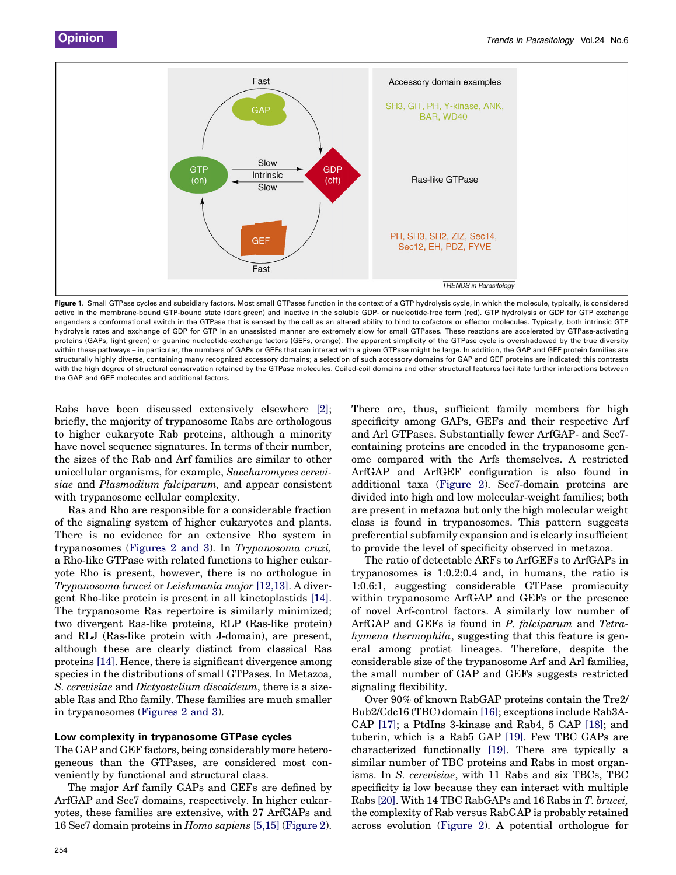<span id="page-1-0"></span>

Figure 1. Small GTPase cycles and subsidiary factors. Most small GTPases function in the context of a GTP hydrolysis cycle, in which the molecule, typically, is considered active in the membrane-bound GTP-bound state (dark green) and inactive in the soluble GDP- or nucleotide-free form (red). GTP hydrolysis or GDP for GTP exchange engenders a conformational switch in the GTPase that is sensed by the cell as an altered ability to bind to cofactors or effector molecules. Typically, both intrinsic GTP hydrolysis rates and exchange of GDP for GTP in an unassisted manner are extremely slow for small GTPases. These reactions are accelerated by GTPase-activating proteins (GAPs, light green) or guanine nucleotide-exchange factors (GEFs, orange). The apparent simplicity of the GTPase cycle is overshadowed by the true diversity within these pathways – in particular, the numbers of GAPs or GEFs that can interact with a given GTPase might be large. In addition, the GAP and GEF protein families are structurally highly diverse, containing many recognized accessory domains; a selection of such accessory domains for GAP and GEF proteins are indicated; this contrasts with the high degree of structural conservation retained by the GTPase molecules. Coiled-coil domains and other structural features facilitate further interactions between the GAP and GEF molecules and additional factors.

Rabs have been discussed extensively elsewhere [\[2\]](#page-3-0); briefly, the majority of trypanosome Rabs are orthologous to higher eukaryote Rab proteins, although a minority have novel sequence signatures. In terms of their number, the sizes of the Rab and Arf families are similar to other unicellular organisms, for example, Saccharomyces cerevisiae and Plasmodium falciparum, and appear consistent with trypanosome cellular complexity.

Ras and Rho are responsible for a considerable fraction of the signaling system of higher eukaryotes and plants. There is no evidence for an extensive Rho system in trypanosomes [\(Figures 2 and 3\)](#page-2-0). In Trypanosoma cruzi, a Rho-like GTPase with related functions to higher eukaryote Rho is present, however, there is no orthologue in Trypanosoma brucei or Leishmania major [\[12,13\].](#page-4-0) A divergent Rho-like protein is present in all kinetoplastids [\[14\]](#page-4-0). The trypanosome Ras repertoire is similarly minimized; two divergent Ras-like proteins, RLP (Ras-like protein) and RLJ (Ras-like protein with J-domain), are present, although these are clearly distinct from classical Ras proteins [\[14\]](#page-4-0). Hence, there is significant divergence among species in the distributions of small GTPases. In Metazoa, S. cerevisiae and Dictyostelium discoideum, there is a sizeable Ras and Rho family. These families are much smaller in trypanosomes [\(Figures 2 and 3\)](#page-2-0).

#### Low complexity in trypanosome GTPase cycles

The GAP and GEF factors, being considerably more heterogeneous than the GTPases, are considered most conveniently by functional and structural class.

The major Arf family GAPs and GEFs are defined by ArfGAP and Sec7 domains, respectively. In higher eukaryotes, these families are extensive, with 27 ArfGAPs and 16 Sec7 domain proteins in Homo sapiens [\[5,15\]](#page-3-0) ([Figure 2](#page-2-0)).

There are, thus, sufficient family members for high specificity among GAPs, GEFs and their respective Arf and Arl GTPases. Substantially fewer ArfGAP- and Sec7 containing proteins are encoded in the trypanosome genome compared with the Arfs themselves. A restricted ArfGAP and ArfGEF configuration is also found in additional taxa [\(Figure 2\)](#page-2-0). Sec7-domain proteins are divided into high and low molecular-weight families; both are present in metazoa but only the high molecular weight class is found in trypanosomes. This pattern suggests preferential subfamily expansion and is clearly insufficient to provide the level of specificity observed in metazoa.

The ratio of detectable ARFs to ArfGEFs to ArfGAPs in trypanosomes is 1:0.2:0.4 and, in humans, the ratio is 1:0.6:1, suggesting considerable GTPase promiscuity within trypanosome ArfGAP and GEFs or the presence of novel Arf-control factors. A similarly low number of ArfGAP and GEFs is found in P. falciparum and Tetrahymena thermophila, suggesting that this feature is general among protist lineages. Therefore, despite the considerable size of the trypanosome Arf and Arl families, the small number of GAP and GEFs suggests restricted signaling flexibility.

Over 90% of known RabGAP proteins contain the Tre2/ Bub2/Cdc16 (TBC) domain [\[16\];](#page-4-0) exceptions include Rab3A-GAP [\[17\]](#page-4-0); a PtdIns 3-kinase and Rab4, 5 GAP [\[18\];](#page-4-0) and tuberin, which is a Rab5 GAP [\[19\]](#page-4-0). Few TBC GAPs are characterized functionally [\[19\].](#page-4-0) There are typically a similar number of TBC proteins and Rabs in most organisms. In S. cerevisiae, with 11 Rabs and six TBCs, TBC specificity is low because they can interact with multiple Rabs [\[20\].](#page-4-0) With 14 TBC RabGAPs and 16 Rabs in T. brucei, the complexity of Rab versus RabGAP is probably retained across evolution [\(Figure 2\)](#page-2-0). A potential orthologue for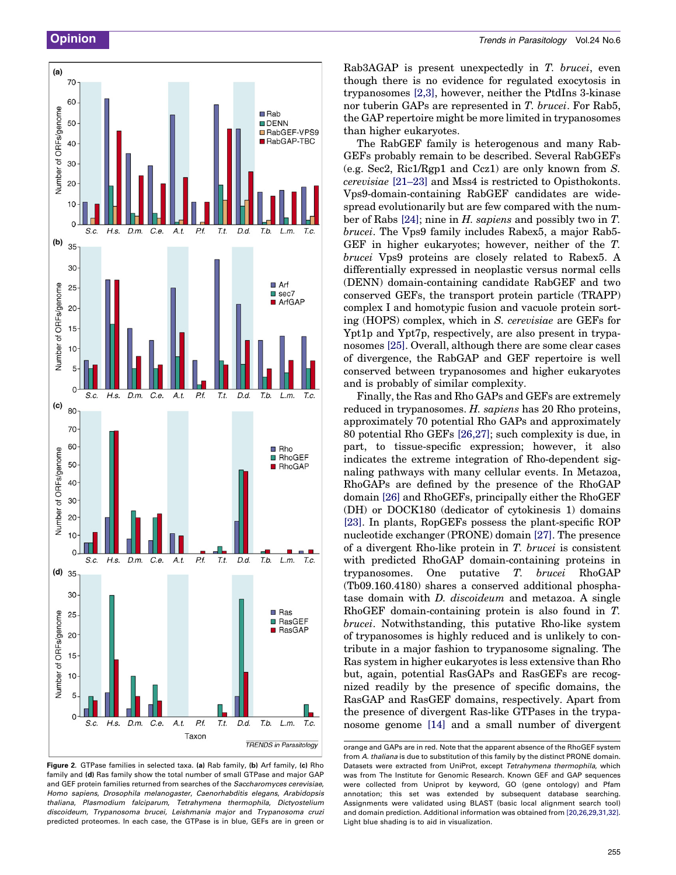<span id="page-2-0"></span>

Figure 2. GTPase families in selected taxa. (a) Rab family, (b) Arf family, (c) Rho family and (d) Ras family show the total number of small GTPase and major GAP and GEF protein families returned from searches of the Saccharomyces cerevisiae, Homo sapiens, Drosophila melanogaster, Caenorhabditis elegans, Arabidopsis thaliana, Plasmodium falciparum, Tetrahymena thermophila, Dictyostelium discoideum, Trypanosoma brucei, Leishmania major and Trypanosoma cruzi predicted proteomes. In each case, the GTPase is in blue, GEFs are in green or

Rab3AGAP is present unexpectedly in T. brucei, even though there is no evidence for regulated exocytosis in trypanosomes [\[2,3\]](#page-3-0), however, neither the PtdIns 3-kinase nor tuberin GAPs are represented in T. brucei. For Rab5, the GAP repertoire might be more limited in trypanosomes than higher eukaryotes.

The RabGEF family is heterogenous and many Rab-GEFs probably remain to be described. Several RabGEFs (e.g. Sec2, Ric1/Rgp1 and Ccz1) are only known from S. cerevisiae [\[21–23\]](#page-4-0) and Mss4 is restricted to Opisthokonts. Vps9-domain-containing RabGEF candidates are widespread evolutionarily but are few compared with the number of Rabs [\[24\];](#page-4-0) nine in H. sapiens and possibly two in T. brucei. The Vps9 family includes Rabex5, a major Rab5- GEF in higher eukaryotes; however, neither of the T. brucei Vps9 proteins are closely related to Rabex5. A differentially expressed in neoplastic versus normal cells (DENN) domain-containing candidate RabGEF and two conserved GEFs, the transport protein particle (TRAPP) complex I and homotypic fusion and vacuole protein sorting (HOPS) complex, which in S. cerevisiae are GEFs for Ypt1p and Ypt7p, respectively, are also present in trypanosomes [\[25\]](#page-4-0). Overall, although there are some clear cases of divergence, the RabGAP and GEF repertoire is well conserved between trypanosomes and higher eukaryotes and is probably of similar complexity.

Finally, the Ras and Rho GAPs and GEFs are extremely reduced in trypanosomes. H. sapiens has 20 Rho proteins, approximately 70 potential Rho GAPs and approximately 80 potential Rho GEFs [\[26,27\]](#page-4-0); such complexity is due, in part, to tissue-specific expression; however, it also indicates the extreme integration of Rho-dependent signaling pathways with many cellular events. In Metazoa, RhoGAPs are defined by the presence of the RhoGAP domain [\[26\]](#page-4-0) and RhoGEFs, principally either the RhoGEF (DH) or DOCK180 (dedicator of cytokinesis 1) domains [\[23\]](#page-4-0). In plants, RopGEFs possess the plant-specific ROP nucleotide exchanger (PRONE) domain [\[27\]](#page-4-0). The presence of a divergent Rho-like protein in T. brucei is consistent with predicted RhoGAP domain-containing proteins in trypanosomes. One putative T. brucei RhoGAP (Tb09.160.4180) shares a conserved additional phosphatase domain with D. discoideum and metazoa. A single RhoGEF domain-containing protein is also found in T. brucei. Notwithstanding, this putative Rho-like system of trypanosomes is highly reduced and is unlikely to contribute in a major fashion to trypanosome signaling. The Ras system in higher eukaryotes is less extensive than Rho but, again, potential RasGAPs and RasGEFs are recognized readily by the presence of specific domains, the RasGAP and RasGEF domains, respectively. Apart from the presence of divergent Ras-like GTPases in the trypanosome genome [\[14\]](#page-4-0) and a small number of divergent

orange and GAPs are in red. Note that the apparent absence of the RhoGEF system from A. thaliana is due to substitution of this family by the distinct PRONE domain. Datasets were extracted from UniProt, except Tetrahymena thermophila, which was from The Institute for Genomic Research. Known GEF and GAP sequences were collected from Uniprot by keyword, GO (gene ontology) and Pfam annotation; this set was extended by subsequent database searching. Assignments were validated using BLAST (basic local alignment search tool) and domain prediction. Additional information was obtained from [\[20,26,29,31,32\].](#page-4-0) Light blue shading is to aid in visualization.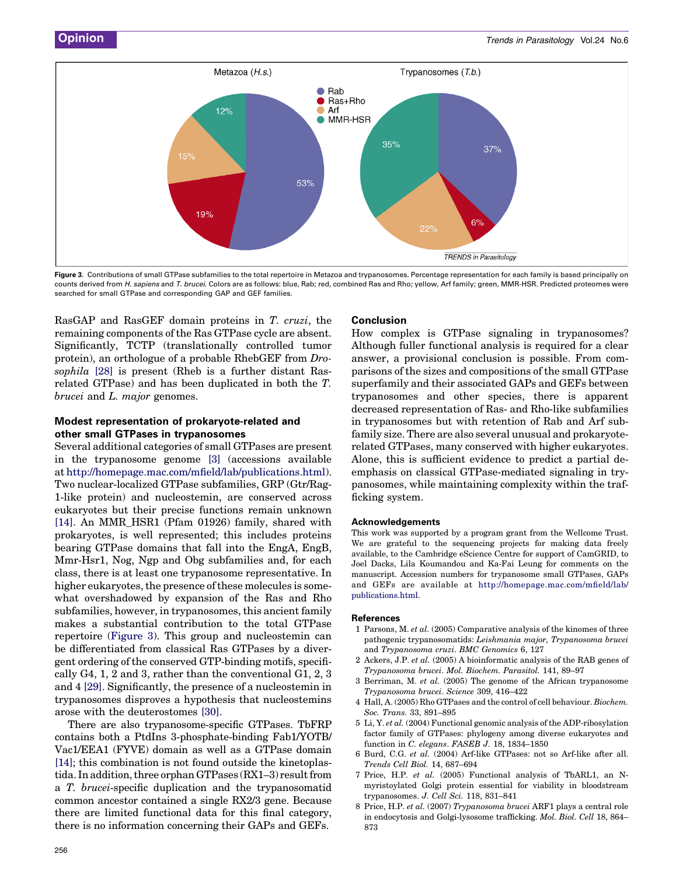<span id="page-3-0"></span>

Figure 3. Contributions of small GTPase subfamilies to the total repertoire in Metazoa and trypanosomes. Percentage representation for each family is based principally on counts derived from H. sapiens and T. brucei. Colors are as follows: blue, Rab; red, combined Ras and Rho; yellow, Arf family; green, MMR-HSR. Predicted proteomes were searched for small GTPase and corresponding GAP and GEF families.

RasGAP and RasGEF domain proteins in T. cruzi, the remaining components of the Ras GTPase cycle are absent. Significantly, TCTP (translationally controlled tumor protein), an orthologue of a probable RhebGEF from Drosophila [\[28\]](#page-4-0) is present (Rheb is a further distant Rasrelated GTPase) and has been duplicated in both the T. brucei and L. major genomes.

### Modest representation of prokaryote-related and other small GTPases in trypanosomes

Several additional categories of small GTPases are present in the trypanosome genome [3] (accessions available at <http://homepage.mac.com/mfield/lab/publications.html>). Two nuclear-localized GTPase subfamilies, GRP (Gtr/Rag-1-like protein) and nucleostemin, are conserved across eukaryotes but their precise functions remain unknown [\[14\]](#page-4-0). An MMR\_HSR1 (Pfam 01926) family, shared with prokaryotes, is well represented; this includes proteins bearing GTPase domains that fall into the EngA, EngB, Mmr-Hsr1, Nog, Ngp and Obg subfamilies and, for each class, there is at least one trypanosome representative. In higher eukaryotes, the presence of these molecules is somewhat overshadowed by expansion of the Ras and Rho subfamilies, however, in trypanosomes, this ancient family makes a substantial contribution to the total GTPase repertoire (Figure 3). This group and nucleostemin can be differentiated from classical Ras GTPases by a divergent ordering of the conserved GTP-binding motifs, specifically G4, 1, 2 and 3, rather than the conventional G1, 2, 3 and 4 [\[29\]](#page-4-0). Significantly, the presence of a nucleostemin in trypanosomes disproves a hypothesis that nucleostemins arose with the deuterostomes [\[30\].](#page-4-0)

There are also trypanosome-specific GTPases. TbFRP contains both a PtdIns 3-phosphate-binding Fab1/YOTB/ Vac1/EEA1 (FYVE) domain as well as a GTPase domain [\[14\];](#page-4-0) this combination is not found outside the kinetoplastida. In addition, three orphan GTPases (RX1–3) result from a T. brucei-specific duplication and the trypanosomatid common ancestor contained a single RX2/3 gene. Because there are limited functional data for this final category, there is no information concerning their GAPs and GEFs.

#### Conclusion

How complex is GTPase signaling in trypanosomes? Although fuller functional analysis is required for a clear answer, a provisional conclusion is possible. From comparisons of the sizes and compositions of the small GTPase superfamily and their associated GAPs and GEFs between trypanosomes and other species, there is apparent decreased representation of Ras- and Rho-like subfamilies in trypanosomes but with retention of Rab and Arf subfamily size. There are also several unusual and prokaryoterelated GTPases, many conserved with higher eukaryotes. Alone, this is sufficient evidence to predict a partial deemphasis on classical GTPase-mediated signaling in trypanosomes, while maintaining complexity within the trafficking system.

#### Acknowledgements

This work was supported by a program grant from the Wellcome Trust. We are grateful to the sequencing projects for making data freely available, to the Cambridge eScience Centre for support of CamGRID, to Joel Dacks, Lila Koumandou and Ka-Fai Leung for comments on the manuscript. Accession numbers for trypanosome small GTPases, GAPs and GEFs are available at [http://homepage.mac.com/mfield/lab/](http://homepage.mac.com/mfield/lab/publications.html) [publications.html.](http://homepage.mac.com/mfield/lab/publications.html)

#### References

- 1 Parsons, M. et al. (2005) Comparative analysis of the kinomes of three pathogenic trypanosomatids: Leishmania major, Trypanosoma brucei and Trypanosoma cruzi. BMC Genomics 6, 127
- 2 Ackers, J.P. et al. (2005) A bioinformatic analysis of the RAB genes of Trypanosoma brucei. Mol. Biochem. Parasitol. 141, 89–97
- 3 Berriman, M. et al. (2005) The genome of the African trypanosome Trypanosoma brucei. Science 309, 416–422
- 4 Hall, A. (2005) Rho GTPases and the control of cell behaviour. Biochem. Soc. Trans. 33, 891–895
- 5 Li, Y. et al. (2004) Functional genomic analysis of the ADP-ribosylation factor family of GTPases: phylogeny among diverse eukaryotes and function in C. elegans. FASEB J. 18, 1834–1850
- 6 Burd, C.G. et al. (2004) Arf-like GTPases: not so Arf-like after all. Trends Cell Biol. 14, 687–694
- 7 Price, H.P. et al. (2005) Functional analysis of TbARL1, an Nmyristoylated Golgi protein essential for viability in bloodstream trypanosomes. J. Cell Sci. 118, 831–841
- 8 Price, H.P. et al. (2007) Trypanosoma brucei ARF1 plays a central role in endocytosis and Golgi-lysosome trafficking. Mol. Biol. Cell 18, 864– 873